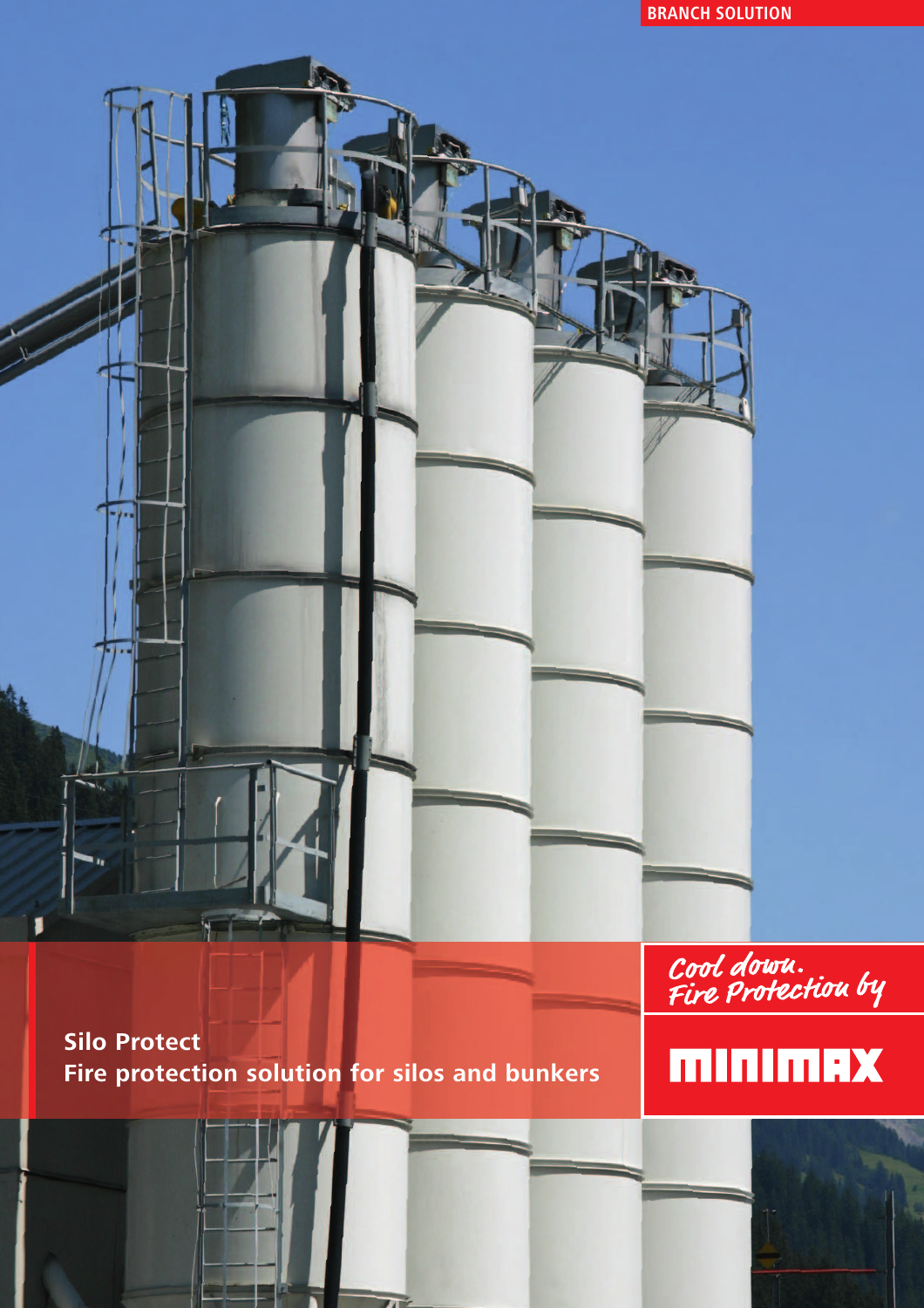**BRANCH SOLUTION**

**Silo Protect Fire protection solution for silos and bunkers** Cool down.<br>Fire Protection by

### **MINIMAX**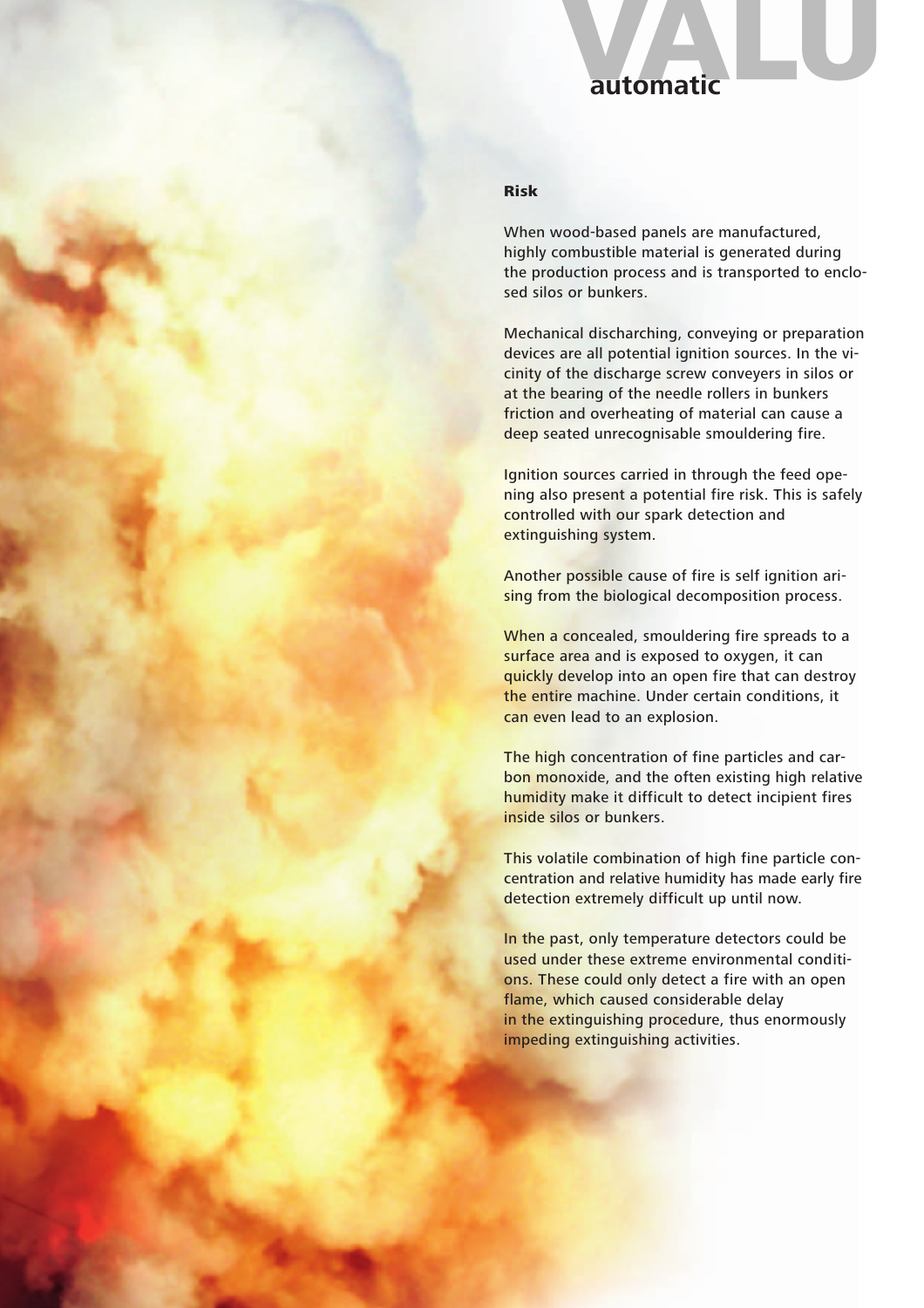## **Automatic**<br> **automatic**<br> **automatic**

### **Risk**

When wood-based panels are manufactured, highly combustible material is generated during the production process and is transported to enclosed silos or bunkers.

Mechanical discharching, conveying or preparation devices are all potential ignition sources. In the vicinity of the discharge screw conveyers in silos or at the bearing of the needle rollers in bunkers friction and overheating of material can cause a deep seated unrecognisable smouldering fire.

Ignition sources carried in through the feed opening also present a potential fire risk. This is safely controlled with our spark detection and extinguishing system.

Another possible cause of fire is self ignition arising from the biological decomposition process.

When a concealed, smouldering fire spreads to a surface area and is exposed to oxygen, it can quickly develop into an open fire that can destroy the entire machine. Under certain conditions, it can even lead to an explosion.

The high concentration of fine particles and carbon monoxide, and the often existing high relative humidity make it difficult to detect incipient fires inside silos or bunkers.

This volatile combination of high fine particle concentration and relative humidity has made early fire detection extremely difficult up until now.

In the past, only temperature detectors could be used under these extreme environmental conditions. These could only detect a fire with an open flame, which caused considerable delay in the extinguishing procedure, thus enormously impeding extinguishing activities.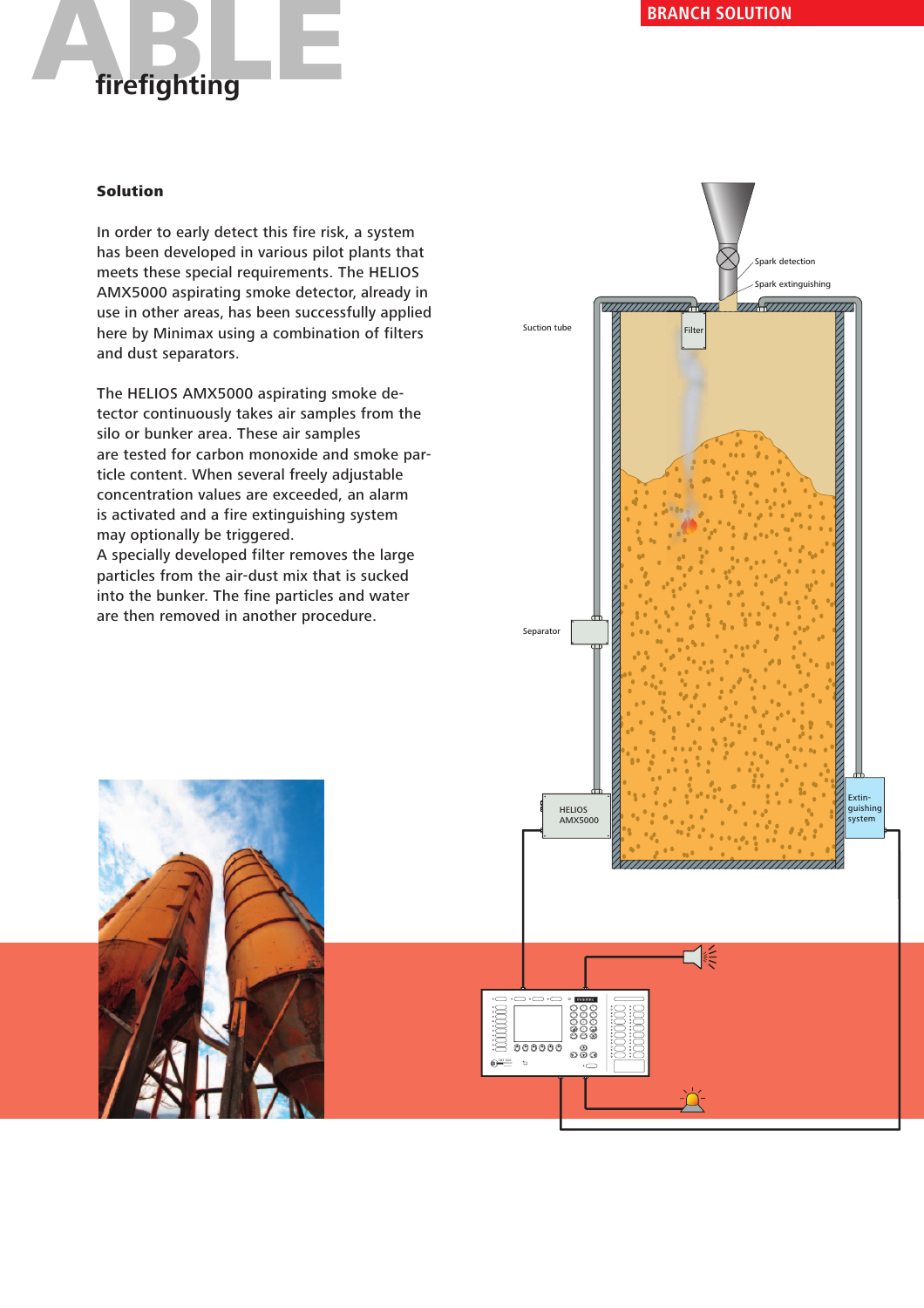

In order to early detect this fire risk, a system has been developed in various pilot plants that meets these special requirements. The HELIOS AMX5000 aspirating smoke detector, already in use in other areas, has been successfully applied here by Minimax using a combination of filters and dust separators.

The HELIOS AMX5000 aspirating smoke detector continuously takes air samples from the silo or bunker area. These air samples are tested for carbon monoxide and smoke particle content. When several freely adjustable concentration values are exceeded, an alarm is activated and a fire extinguishing system may optionally be triggered.

A specially developed filter removes the large particles from the air-dust mix that is sucked into the bunker. The fine particles and water are then removed in another procedure.